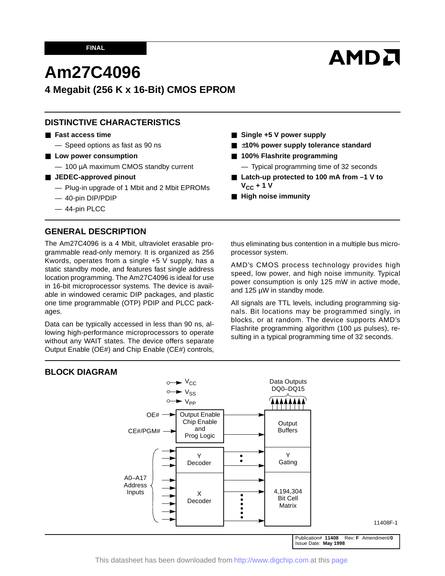# **AMDA**

## **Am27C4096**

## **4 Megabit (256 K x 16-Bit) CMOS EPROM**

## **DISTINCTIVE CHARACTERISTICS**

#### ■ **Fast access time**

— Speed options as fast as 90 ns

- Low power consumption
	- 100 µA maximum CMOS standby current
- **JEDEC-approved pinout** 
	- Plug-in upgrade of 1 Mbit and 2 Mbit EPROMs
	- 40-pin DIP/PDIP
	- 44-pin PLCC

#### **GENERAL DESCRIPTION**

The Am27C4096 is a 4 Mbit, ultraviolet erasable programmable read-only memory. It is organized as 256 Kwords, operates from a single +5 V supply, has a static standby mode, and features fast single address location programming. The Am27C4096 is ideal for use in 16-bit microprocessor systems. The device is available in windowed ceramic DIP packages, and plastic one time programmable (OTP) PDIP and PLCC packages.

Data can be typically accessed in less than 90 ns, allowing high-performance microprocessors to operate without any WAIT states. The device offers separate Output Enable (OE#) and Chip Enable (CE#) controls,

■ Single +5 V power supply

- ±10% power supply tolerance standard
- **100% Flashrite programming** 
	- Typical programming time of 32 seconds
- Latch-up protected to 100 mA from -1 V to  $V_{CC}$  + 1 V
- **High noise immunity**

thus eliminating bus contention in a multiple bus microprocessor system.

AMD's CMOS process technology provides high speed, low power, and high noise immunity. Typical power consumption is only 125 mW in active mode, and 125 µW in standby mode.

All signals are TTL levels, including programming signals. Bit locations may be programmed singly, in blocks, or at random. The device supports AMD's Flashrite programming algorithm (100 µs pulses), resulting in a typical programming time of 32 seconds.

#### **BLOCK DIAGRAM**



This datasheet has been downloaded from <http://www.digchip.com> at this [page](https://www.digchip.com/datasheets/parts/datasheet/013/27C4096.php)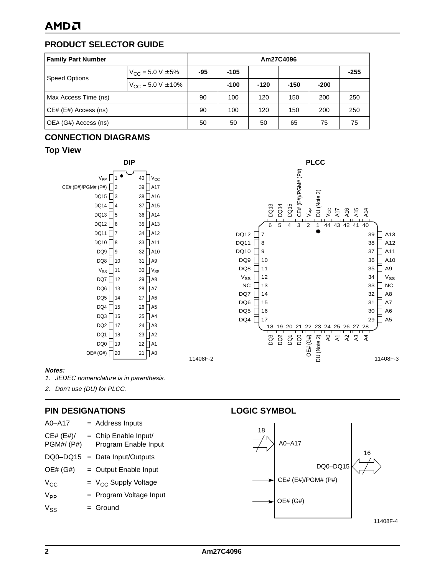## **PRODUCT SELECTOR GUIDE**

| <b>Family Part Number</b> | Am27C4096                       |     |        |        |        |        |        |
|---------------------------|---------------------------------|-----|--------|--------|--------|--------|--------|
| <b>Speed Options</b>      | $V_{\text{CC}} = 5.0 V \pm 5\%$ | -95 | -105   |        |        |        | $-255$ |
|                           | $V_{CC}$ = 5.0 V $\pm$ 10%      |     | $-100$ | $-120$ | $-150$ | $-200$ |        |
| Max Access Time (ns)      |                                 | 90  | 100    | 120    | 150    | 200    | 250    |
| CE# (E#) Access (ns)      |                                 | 90  | 100    | 120    | 150    | 200    | 250    |
| OE# (G#) Access (ns)      |                                 | 50  | 50     | 50     | 65     | 75     | 75     |

#### **CONNECTION DIAGRAMS**

#### **Top View**



**DIP** PLCC  $\sqrt{\text{CE#}}$  (E#)/PGM# (P#) CE# (E#)/PGM# (P#) DU (Note 2) DQ15 DQ13 DQ14 VPP  $V_{CC}$ A16 A17 A14 A15 6 5 4 3 2 1 44 43 42 41 40  $DQ12$ 39  $\overline{\phantom{a}}$  A13 7  $DQ11$ 8 38  $\Box$  A12  $DQ10$ 9 37 A11  $DQ9$ 10 36  $\Box$  A10  $D$ Q8 $\Box$ 35  $\Box$  A9 11  $V_{SS}$  $\sqrt{ }$ 12 34  $V_{SS}$  $NC$ 13 33  $\Box$  NC DQ7 $\Box$ 14 32  $\Box$  A8  $DQ6$ 15 31  $\Box$  A7 DQ5 16 30  $\Box$  A6  $DQ4$ 29  $\Box$  A5 17 18 19 20 21 22 23 24 25 26 27 28  $\overline{a}$  $OE# (GH)$ DQ0 DU (Note 2)  $\overline{A}$  $A2$ A3  $A4$  $\overline{\mathbf{z}}$ ខ្ព<br>ខ្ព 11408F-3

#### **Notes:**

- 1. JEDEC nomenclature is in parenthesis.
- 2. Don't use (DU) for PLCC.

#### **PIN DESIGNATIONS**

| A0-A17                        | = Address Inputs                               |
|-------------------------------|------------------------------------------------|
| CE# (E#)<br><b>PGM#/ (P#)</b> | $=$ Chip Enable Input/<br>Program Enable Input |
| DQ0-DQ15                      | = Data Input/Outputs                           |
| OE# (G#)                      | = Output Enable Input                          |
| $V_{CC}$                      | $=$ V <sub>CC</sub> Supply Voltage             |
| $V_{\mathsf{PP}}$             | = Program Voltage Input                        |
| $V_{SS}$                      | $=$ Ground                                     |
|                               |                                                |

#### **LOGIC SYMBOL**



11408F-2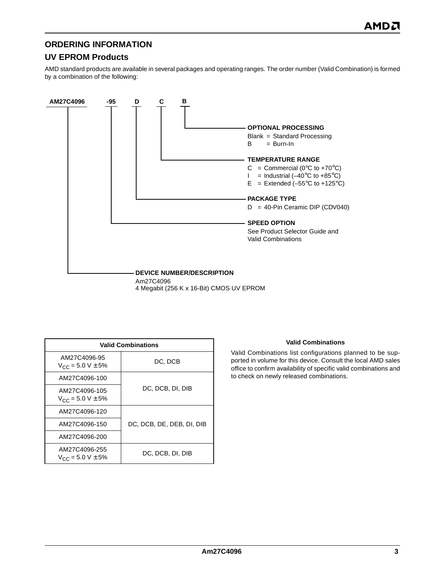#### **ORDERING INFORMATION**

## **UV EPROM Products**

AMD standard products are available in several packages and operating ranges. The order number (Valid Combination) is formed by a combination of the following:



4 Megabit (256 K x 16-Bit) CMOS UV EPROM

|                                                | <b>Valid Combinations</b> |
|------------------------------------------------|---------------------------|
| AM27C4096-95<br>$V_{CC}$ = 5.0 V $\pm$ 5%      | DC, DCB                   |
| AM27C4096-100                                  |                           |
| AM27C4096-105<br>$V_{CC}$ = 5.0 V $\pm$ 5%     | DC, DCB, DI, DIB          |
| AM27C4096-120                                  |                           |
| AM27C4096-150                                  | DC, DCB, DE, DEB, DI, DIB |
| AM27C4096-200                                  |                           |
| AM27C4096-255<br>$V_{\rm CC}$ = 5.0 V $\pm$ 5% | DC, DCB, DI, DIB          |

#### **Valid Combinations**

Valid Combinations list configurations planned to be supported in volume for this device. Consult the local AMD sales office to confirm availability of specific valid combinations and to check on newly released combinations.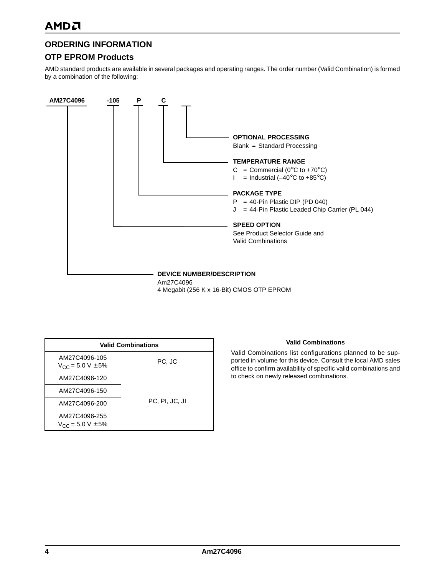#### **ORDERING INFORMATION**

#### **OTP EPROM Products**

AMD standard products are available in several packages and operating ranges. The order number (Valid Combination) is formed by a combination of the following:



4 Megabit (256 K x 16-Bit) CMOS OTP EPROM

|                                                | <b>Valid Combinations</b> |  |  |  |  |  |
|------------------------------------------------|---------------------------|--|--|--|--|--|
| AM27C4096-105<br>$V_{CC}$ = 5.0 V $\pm$ 5%     | PC, JC                    |  |  |  |  |  |
| AM27C4096-120                                  |                           |  |  |  |  |  |
| AM27C4096-150                                  |                           |  |  |  |  |  |
| AM27C4096-200                                  | PC, PI, JC, JI            |  |  |  |  |  |
| AM27C4096-255<br>$V_{\rm CC}$ = 5.0 V $\pm$ 5% |                           |  |  |  |  |  |

#### **Valid Combinations**

Valid Combinations list configurations planned to be supported in volume for this device. Consult the local AMD sales office to confirm availability of specific valid combinations and to check on newly released combinations.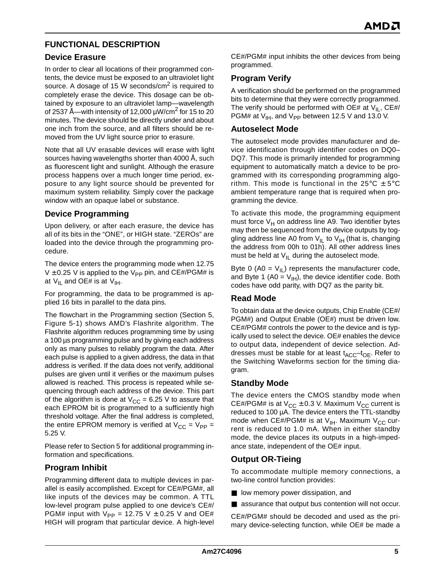#### **FUNCTIONAL DESCRIPTION**

#### **Device Erasure**

In order to clear all locations of their programmed contents, the device must be exposed to an ultraviolet light source. A dosage of 15 W seconds/cm<sup>2</sup> is required to completely erase the device. This dosage can be obtained by exposure to an ultraviolet lamp—wavelength of 2537 Å—with intensity of 12,000  $\mu$ W/cm<sup>2</sup> for 15 to 20 minutes. The device should be directly under and about one inch from the source, and all filters should be removed from the UV light source prior to erasure.

Note that all UV erasable devices will erase with light sources having wavelengths shorter than 4000 Å, such as fluorescent light and sunlight. Although the erasure process happens over a much longer time period, exposure to any light source should be prevented for maximum system reliability. Simply cover the package window with an opaque label or substance.

#### **Device Programming**

Upon delivery, or after each erasure, the device has all of its bits in the "ONE", or HIGH state. "ZEROs" are loaded into the device through the programming procedure.

The device enters the programming mode when 12.75  $V \pm 0.25$  V is applied to the V<sub>PP</sub> pin, and CE#/PGM# is at  $V_{IL}$  and OE# is at  $V_{IH}$ .

For programming, the data to be programmed is applied 16 bits in parallel to the data pins.

The flowchart in the Programming section (Section 5, Figure 5-1) shows AMD's Flashrite algorithm. The Flashrite algorithm reduces programming time by using a 100 µs programming pulse and by giving each address only as many pulses to reliably program the data. After each pulse is applied to a given address, the data in that address is verified. If the data does not verify, additional pulses are given until it verifies or the maximum pulses allowed is reached. This process is repeated while sequencing through each address of the device. This part of the algorithm is done at  $V_{CC} = 6.25$  V to assure that each EPROM bit is programmed to a sufficiently high threshold voltage. After the final address is completed, the entire EPROM memory is verified at  $V_{CC} = V_{PP} =$ 5.25 V.

Please refer to Section 5 for additional programming information and specifications.

#### **Program Inhibit**

Programming different data to multiple devices in parallel is easily accomplished. Except for CE#/PGM#, all like inputs of the devices may be common. A TTL low-level program pulse applied to one device's CE#/ PGM# input with  $V_{PP}$  = 12.75 V  $\pm$  0.25 V and OE# HIGH will program that particular device. A high-level CE#/PGM# input inhibits the other devices from being programmed.

#### **Program Verify**

A verification should be performed on the programmed bits to determine that they were correctly programmed. The verify should be performed with OE# at  $V_{II}$ , CE#/ PGM# at  $V_{IH}$ , and  $V_{PP}$  between 12.5 V and 13.0 V.

#### **Autoselect Mode**

The autoselect mode provides manufacturer and device identification through identifier codes on DQ0– DQ7. This mode is primarily intended for programming equipment to automatically match a device to be programmed with its corresponding programming algorithm. This mode is functional in the 25 $\degree$ C  $\pm$  5 $\degree$ C ambient temperature range that is required when programming the device.

To activate this mode, the programming equipment must force  $V_H$  on address line A9. Two identifier bytes may then be sequenced from the device outputs by toggling address line A0 from  $V_{IL}$  to  $V_{IH}$  (that is, changing the address from 00h to 01h). All other address lines must be held at  $V_{II}$  during the autoselect mode.

Byte 0 (A0 =  $V_{II}$ ) represents the manufacturer code, and Byte 1 (A0 =  $V_{H}$ ), the device identifier code. Both codes have odd parity, with DQ7 as the parity bit.

#### **Read Mode**

To obtain data at the device outputs, Chip Enable (CE#/ PGM#) and Output Enable (OE#) must be driven low. CE#/PGM# controls the power to the device and is typically used to select the device. OE# enables the device to output data, independent of device selection. Addresses must be stable for at least  $t_{\text{ACC}}-t_{\text{OE}}$ . Refer to the Switching Waveforms section for the timing diagram.

#### **Standby Mode**

The device enters the CMOS standby mode when CE#/PGM# is at  $V_{CC} \pm 0.3$  V. Maximum  $V_{CC}$  current is reduced to 100 µA. The device enters the TTL-standby mode when CE#/PGM# is at  $V_{IH}$ . Maximum  $V_{CC}$  current is reduced to 1.0 mA. When in either standby mode, the device places its outputs in a high-impedance state, independent of the OE# input.

#### **Output OR-Tieing**

To accommodate multiple memory connections, a two-line control function provides:

- low memory power dissipation, and
- assurance that output bus contention will not occur.

CE#/PGM# should be decoded and used as the primary device-selecting function, while OE# be made a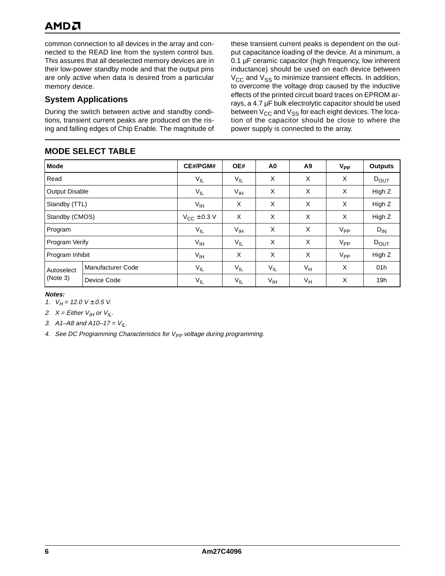## AMDA

common connection to all devices in the array and connected to the READ line from the system control bus. This assures that all deselected memory devices are in their low-power standby mode and that the output pins are only active when data is desired from a particular memory device.

#### **System Applications**

During the switch between active and standby conditions, transient current peaks are produced on the rising and falling edges of Chip Enable. The magnitude of

## **MODE SELECT TABLE**

these transient current peaks is dependent on the output capacitance loading of the device. At a minimum, a 0.1 µF ceramic capacitor (high frequency, low inherent inductance) should be used on each device between  $V_{\text{CC}}$  and  $V_{\text{SS}}$  to minimize transient effects. In addition, to overcome the voltage drop caused by the inductive effects of the printed circuit board traces on EPROM arrays, a 4.7 µF bulk electrolytic capacitor should be used between  $V_{CC}$  and  $V_{SS}$  for each eight devices. The location of the capacitor should be close to where the power supply is connected to the array.

|                       | IIIVPL VLLLVI IADLL      |                 |                 |                 |       |          |                  |
|-----------------------|--------------------------|-----------------|-----------------|-----------------|-------|----------|------------------|
| <b>Mode</b>           |                          | CE#/PGM#        | OE#             | A <sub>0</sub>  | A9    | $V_{PP}$ | <b>Outputs</b>   |
| Read                  |                          | $V_{IL}$        | $V_{IL}$        | X               | X     | X        | $D_{\text{OUT}}$ |
| <b>Output Disable</b> |                          | $V_{IL}$        | $V_{\text{IH}}$ | X               | X     | X        | High Z           |
|                       | Standby (TTL)            |                 | X               | X               | X     | X        | High Z           |
|                       | Standby (CMOS)           |                 | X               | X               | X     | X        | High Z           |
| Program               |                          | $V_{IL}$        | $V_{\text{IH}}$ | X               | X     | $V_{PP}$ | $D_{IN}$         |
| Program Verify        |                          | $V_{\text{IH}}$ | $V_{IL}$        | X               | X     | $V_{PP}$ | $D_{\text{OUT}}$ |
| Program Inhibit       |                          | $V_{\text{IH}}$ | X               | X               | X     | $V_{PP}$ | High Z           |
| Autoselect            | <b>Manufacturer Code</b> | $V_{IL}$        | $V_{IL}$        | $V_{IL}$        | $V_H$ | X        | 01h              |
| (Note 3)              | Device Code              | $V_{IL}$        | $V_{IL}$        | $V_{\text{IH}}$ | $V_H$ | X        | 19h              |

#### **Notes:**

1.  $V_H$  = 12.0 V  $\pm$  0.5 V.

2.  $X =$  Either  $V_{II}$  or  $V_{IL}$ .

3. A1–A8 and A10–17 =  $V_{II}$ .

4. See DC Programming Characteristics for  $V_{PP}$  voltage during programming.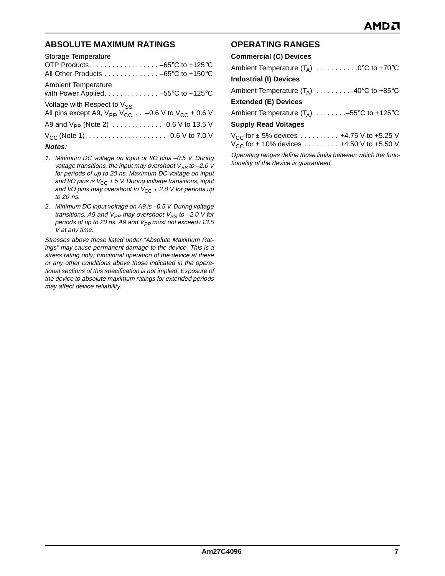#### **ABSOLUTE MAXIMUM RATINGS**

| Storage Temperature                                                                     |
|-----------------------------------------------------------------------------------------|
|                                                                                         |
| All Other Products -65°C to +150°C                                                      |
| <b>Ambient Temperature</b>                                                              |
| with Power Applied. -55°C to +125°C                                                     |
| Voltage with Respect to $V_{SS}$                                                        |
| All pins except A9, $V_{\text{PP}}$ , $V_{\text{CC}}$ -0.6 V to $V_{\text{CC}}$ + 0.6 V |
|                                                                                         |
|                                                                                         |
| Notes:                                                                                  |

- 1. Minimum DC voltage on input or I/O pins –0.5 V. During voltage transitions, the input may overshoot  $V_{SS}$  to -2.0 V for periods of up to 20 ns. Maximum DC voltage on input and I/O pins is  $V_{CC}$  + 5 V. During voltage transitions, input and I/O pins may overshoot to  $V_{CC}$  + 2.0 V for periods up to 20 ns.
- 2. Minimum DC input voltage on A9 is –0.5 V. During voltage transitions, A9 and  $V_{PP}$  may overshoot  $V_{SS}$  to -2.0 V for periods of up to 20 ns. A9 and  $V_{PP}$  must not exceed+13.5 V at any time.

Stresses above those listed under "Absolute Maximum Ratings" may cause permanent damage to the device. This is a stress rating only; functional operation of the device at these or any other conditions above those indicated in the operational sections of this specification is not implied. Exposure of the device to absolute maximum ratings for extended periods may affect device reliability.

#### **OPERATING RANGES**

| <b>Commercial (C) Devices</b>                     |
|---------------------------------------------------|
| Ambient Temperature $(T_A)$ 0°C to +70°C          |
| <b>Industrial (I) Devices</b>                     |
| Ambient Temperature $(T_A)$ -40°C to +85°C        |
| <b>Extended (E) Devices</b>                       |
| Ambient Temperature $(T_A)$ -55°C to +125°C       |
| <b>Supply Read Voltages</b>                       |
| $V_{CC}$ for $\pm$ 5% devices  +4.75 V to +5.25 V |
| $V_{CC}$ for ± 10% devices  +4.50 V to +5.50 V    |
|                                                   |

Operating ranges define those limits between which the functionality of the device is guaranteed.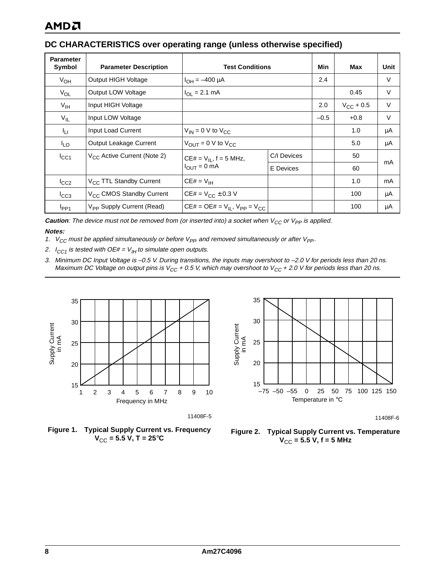#### **DC CHARACTERISTICS over operating range (unless otherwise specified)**

| <b>Parameter</b><br>Symbol | <b>Parameter Description</b>          | <b>Test Conditions</b>                   |             | Min | Max            | Unit |
|----------------------------|---------------------------------------|------------------------------------------|-------------|-----|----------------|------|
| $V_{OH}$                   | Output HIGH Voltage                   | $I_{OH} = -400 \mu A$                    | 2.4         |     | $\vee$         |      |
| $V_{OL}$                   | Output LOW Voltage                    | $I_{OL} = 2.1$ mA                        |             |     |                | V    |
| $V_{\text{IH}}$            | Input HIGH Voltage                    |                                          |             |     | $V_{CC}$ + 0.5 | V    |
| $V_{IL}$                   | Input LOW Voltage                     |                                          |             |     | $+0.8$         | V    |
| Īц                         | Input Load Current                    | $V_{IN}$ = 0 V to $V_{CC}$               |             |     | 1.0            | μA   |
| <sup>I</sup> LO            | Output Leakage Current                | $V_{OUIT} = 0$ V to $V_{CC}$             |             |     | 5.0            | μA   |
| $I_{\rm CC1}$              | $V_{CC}$ Active Current (Note 2)      | $CE# = V_{IL}$ , f = 5 MHz,              | C/I Devices |     | 50             |      |
|                            |                                       | $I_{OUT} = 0$ mA                         | E Devices   |     | 60             | mA   |
| $I_{CC2}$                  | V <sub>CC</sub> TTL Standby Current   | $CE# = V_{IH}$                           |             |     | 1.0            | mA   |
| $I_{CC3}$                  | V <sub>CC</sub> CMOS Standby Current  | $CE# = V_{CC} \pm 0.3 V$                 |             |     | 100            | μA   |
| $I_{PP1}$                  | V <sub>PP</sub> Supply Current (Read) | $CE# = OE# = V_{II}$ , $V_{PP} = V_{CC}$ |             |     | 100            | μA   |

**Caution**: The device must not be removed from (or inserted into) a socket when  $V_{CC}$  or  $V_{PP}$  is applied. **Notes:**

- 1.  $V_{CC}$  must be applied simultaneously or before  $V_{PP}$  and removed simultaneously or after  $V_{PP}$ .
- 2.  $I_{CC1}$  is tested with OE# =  $V_{IH}$  to simulate open outputs.
- 3. Minimum DC Input Voltage is –0.5 V. During transitions, the inputs may overshoot to –2.0 V for periods less than 20 ns. Maximum DC Voltage on output pins is  $V_{CC}$  + 0.5 V, which may overshoot to  $V_{CC}$  + 2.0 V for periods less than 20 ns.



11408F-5

**Figure 1. Typical Supply Current vs. Frequency**  $V_{CC}$  = 5.5 V, T = 25 $^{\circ}$ C



11408F-6

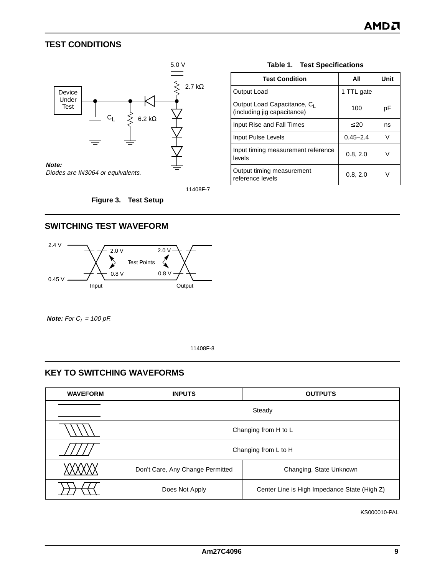#### <span id="page-8-0"></span>**TEST CONDITIONS**



**Table 1. Test Specifications**

| <b>Test Condition</b>                                      | All          | Unit |
|------------------------------------------------------------|--------------|------|
| Output Load                                                | 1 TTL gate   |      |
| Output Load Capacitance, CL<br>(including jig capacitance) | 100          | рF   |
| Input Rise and Fall Times                                  | $\leq 20$    | ns   |
| Input Pulse Levels                                         | $0.45 - 2.4$ | v    |
| Input timing measurement reference<br>levels               | 0.8, 2.0     | v    |
| Output timing measurement<br>reference levels              | 0.8, 2.0     |      |

11408F-7

**Figure 3. Test Setup**

#### **SWITCHING TEST WAVEFORM**



**Note:** For  $C_L$  = 100 pF.

11408F-8

#### **KEY TO SWITCHING WAVEFORMS**

| <b>WAVEFORM</b> | <b>INPUTS</b>                    | <b>OUTPUTS</b>                               |  |  |  |  |
|-----------------|----------------------------------|----------------------------------------------|--|--|--|--|
|                 |                                  | Steady                                       |  |  |  |  |
|                 |                                  | Changing from H to L                         |  |  |  |  |
|                 |                                  | Changing from L to H                         |  |  |  |  |
|                 | Don't Care, Any Change Permitted | Changing, State Unknown                      |  |  |  |  |
|                 | Does Not Apply                   | Center Line is High Impedance State (High Z) |  |  |  |  |

KS000010-PAL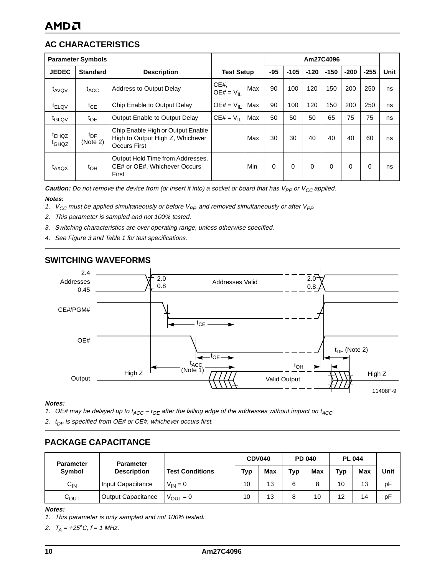## **AC CHARACTERISTICS**

|                                        | <b>Parameter Symbols</b>    |                                                                                              |                    |     |          |          |          | Am27C4096 |          |          |      |
|----------------------------------------|-----------------------------|----------------------------------------------------------------------------------------------|--------------------|-----|----------|----------|----------|-----------|----------|----------|------|
| <b>JEDEC</b>                           | <b>Standard</b>             | <b>Description</b>                                                                           | <b>Test Setup</b>  |     | $-95$    | $-105$   | $-120$   | $-150$    | $-200$   | $-255$   | Unit |
| t <sub>AVQV</sub>                      | t <sub>ACC</sub>            | <b>Address to Output Delay</b>                                                               | CE#<br>$OE# = VII$ | Max | 90       | 100      | 120      | 150       | 200      | 250      | ns   |
| $t_{\text{ELQV}}$                      | $t_{CE}$                    | Chip Enable to Output Delay                                                                  | $OE# = V_{II}$     | Max | 90       | 100      | 120      | 150       | 200      | 250      | ns   |
| t <sub>GLQV</sub>                      | $t_{OE}$                    | Output Enable to Output Delay                                                                | $CE# = V_{II}$     | Max | 50       | 50       | 50       | 65        | 75       | 75       | ns   |
| <sup>t</sup> EHQZ<br>t <sub>GHQZ</sub> | $t_{\text{DF}}$<br>(Note 2) | Chip Enable High or Output Enable<br>High to Output High Z, Whichever<br><b>Occurs First</b> |                    | Max | 30       | 30       | 40       | 40        | 40       | 60       | ns   |
| $t_{AXOX}$                             | $t_{OH}$                    | Output Hold Time from Addresses,<br>CE# or OE#, Whichever Occurs<br>First                    |                    | Min | $\Omega$ | $\Omega$ | $\Omega$ | $\Omega$  | $\Omega$ | $\Omega$ | ns   |

**Caution:** Do not remove the device from (or insert it into) a socket or board that has  $V_{PP}$  or  $V_{CC}$  applied.

#### **Notes:**

- 1.  $V_{CC}$  must be applied simultaneously or before  $V_{PP}$  and removed simultaneously or after  $V_{PP}$
- 2. This parameter is sampled and not 100% tested.
- 3. Switching characteristics are over operating range, unless otherwise specified.
- 4. See [Figure 3](#page-8-0) and [Table 1](#page-8-0) for test specifications.



#### **SWITCHING WAVEFORMS**

#### **Notes:**

- 1. OE# may be delayed up to  $t_{ACC} t_{OE}$  after the falling edge of the addresses without impact on  $t_{ACC}$ .
- 2.  $t_{DF}$  is specified from OE# or CE#, whichever occurs first.

#### **PACKAGE CAPACITANCE**

| <b>Parameter</b> | <b>Parameter</b>          |                        | <b>CDV040</b> |     | <b>PD 040</b> |     | <b>PL 044</b> |     |      |
|------------------|---------------------------|------------------------|---------------|-----|---------------|-----|---------------|-----|------|
| Symbol           | <b>Description</b>        | <b>Test Conditions</b> | Typ           | Max | Typ           | Max | <b>Typ</b>    | Max | Unit |
| $C_{\text{IN}}$  | Input Capacitance         | $V_{IN} = 0$           | 10            | 13  | 6             |     | 10            | 13  | рF   |
| $C_{OUT}$        | <b>Output Capacitance</b> | $V_{\text{OUT}} = 0$   | 10            | 13  | 8             | 10  | 12            | 14  | рF   |

#### **Notes:**

- 1. This parameter is only sampled and not 100% tested.
- 2.  $T_A = +25^{\circ}C, t = 1$  MHz.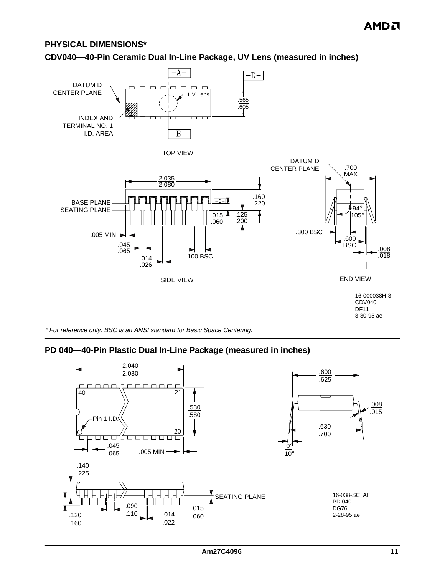#### **PHYSICAL DIMENSIONS\***

#### **CDV040—40-Pin Ceramic Dual In-Line Package, UV Lens (measured in inches)**



\* For reference only. BSC is an ANSI standard for Basic Space Centering.

#### **PD 040—40-Pin Plastic Dual In-Line Package (measured in inches)**